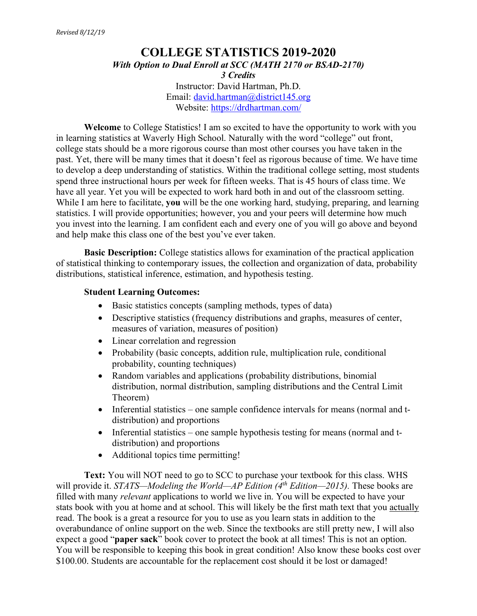# **COLLEGE STATISTICS 2019-2020** *With Option to Dual Enroll at SCC (MATH 2170 or BSAD-2170) 3 Credits* Instructor: David Hartman, Ph.D. Email: david.hartman@district145.org Website: https://drdhartman.com/

**Welcome** to College Statistics! I am so excited to have the opportunity to work with you in learning statistics at Waverly High School. Naturally with the word "college" out front, college stats should be a more rigorous course than most other courses you have taken in the past. Yet, there will be many times that it doesn't feel as rigorous because of time. We have time to develop a deep understanding of statistics. Within the traditional college setting, most students spend three instructional hours per week for fifteen weeks. That is 45 hours of class time. We have all year. Yet you will be expected to work hard both in and out of the classroom setting. While I am here to facilitate, **you** will be the one working hard, studying, preparing, and learning statistics. I will provide opportunities; however, you and your peers will determine how much you invest into the learning. I am confident each and every one of you will go above and beyond and help make this class one of the best you've ever taken.

**Basic Description:** College statistics allows for examination of the practical application of statistical thinking to contemporary issues, the collection and organization of data, probability distributions, statistical inference, estimation, and hypothesis testing.

## **Student Learning Outcomes:**

- Basic statistics concepts (sampling methods, types of data)
- Descriptive statistics (frequency distributions and graphs, measures of center, measures of variation, measures of position)
- Linear correlation and regression
- Probability (basic concepts, addition rule, multiplication rule, conditional probability, counting techniques)
- Random variables and applications (probability distributions, binomial distribution, normal distribution, sampling distributions and the Central Limit Theorem)
- Inferential statistics one sample confidence intervals for means (normal and tdistribution) and proportions
- Inferential statistics one sample hypothesis testing for means (normal and tdistribution) and proportions
- Additional topics time permitting!

**Text:** You will NOT need to go to SCC to purchase your textbook for this class. WHS will provide it. *STATS—Modeling the World—AP Edition (4<sup>th</sup> Edition—2015)*. These books are filled with many *relevant* applications to world we live in. You will be expected to have your stats book with you at home and at school. This will likely be the first math text that you actually read. The book is a great a resource for you to use as you learn stats in addition to the overabundance of online support on the web. Since the textbooks are still pretty new, I will also expect a good "**paper sack**" book cover to protect the book at all times! This is not an option. You will be responsible to keeping this book in great condition! Also know these books cost over \$100.00. Students are accountable for the replacement cost should it be lost or damaged!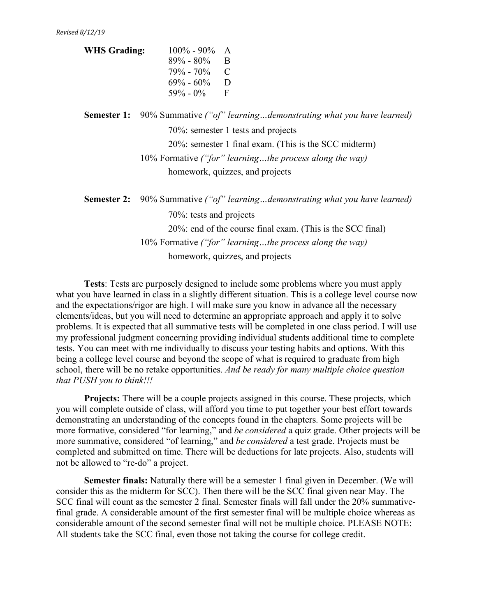| $100\%$ - 90% | A  |
|---------------|----|
| $89\% - 80\%$ | -B |
| $79\% - 70\%$ | C  |
| $69\% - 60\%$ | D  |
| $59\% - 0\%$  | F  |
|               |    |

**Semester 1:** 90% Summative *("of" learning…demonstrating what you have learned)* 70%: semester 1 tests and projects 20%: semester 1 final exam. (This is the SCC midterm) 10% Formative *("for" learning…the process along the way)* homework, quizzes, and projects

| <b>Semester 2:</b> 90% Summative ("of" learningdemonstrating what you have learned) |
|-------------------------------------------------------------------------------------|
| 70%: tests and projects                                                             |
| 20%: end of the course final exam. (This is the SCC final)                          |
| 10% Formative ("for" learningthe process along the way)                             |
| homework, quizzes, and projects                                                     |

**Tests**: Tests are purposely designed to include some problems where you must apply what you have learned in class in a slightly different situation. This is a college level course now and the expectations/rigor are high. I will make sure you know in advance all the necessary elements/ideas, but you will need to determine an appropriate approach and apply it to solve problems. It is expected that all summative tests will be completed in one class period. I will use my professional judgment concerning providing individual students additional time to complete tests. You can meet with me individually to discuss your testing habits and options. With this being a college level course and beyond the scope of what is required to graduate from high school, there will be no retake opportunities. *And be ready for many multiple choice question that PUSH you to think!!!*

**Projects:** There will be a couple projects assigned in this course. These projects, which you will complete outside of class, will afford you time to put together your best effort towards demonstrating an understanding of the concepts found in the chapters. Some projects will be more formative, considered "for learning," and *be considered* a quiz grade. Other projects will be more summative, considered "of learning," and *be considered* a test grade. Projects must be completed and submitted on time. There will be deductions for late projects. Also, students will not be allowed to "re-do" a project.

**Semester finals:** Naturally there will be a semester 1 final given in December. (We will consider this as the midterm for SCC). Then there will be the SCC final given near May. The SCC final will count as the semester 2 final. Semester finals will fall under the 20% summativefinal grade. A considerable amount of the first semester final will be multiple choice whereas as considerable amount of the second semester final will not be multiple choice. PLEASE NOTE: All students take the SCC final, even those not taking the course for college credit.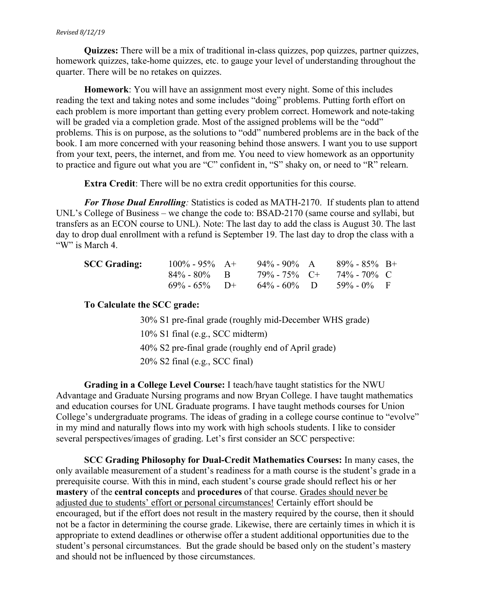#### *Revised 8/12/19*

**Quizzes:** There will be a mix of traditional in-class quizzes, pop quizzes, partner quizzes, homework quizzes, take-home quizzes, etc. to gauge your level of understanding throughout the quarter. There will be no retakes on quizzes.

**Homework**: You will have an assignment most every night. Some of this includes reading the text and taking notes and some includes "doing" problems. Putting forth effort on each problem is more important than getting every problem correct. Homework and note-taking will be graded via a completion grade. Most of the assigned problems will be the "odd" problems. This is on purpose, as the solutions to "odd" numbered problems are in the back of the book. I am more concerned with your reasoning behind those answers. I want you to use support from your text, peers, the internet, and from me. You need to view homework as an opportunity to practice and figure out what you are "C" confident in, "S" shaky on, or need to "R" relearn.

**Extra Credit**: There will be no extra credit opportunities for this course.

*For Those Dual Enrolling:* Statistics is coded as MATH-2170. If students plan to attend UNL's College of Business – we change the code to: BSAD-2170 (same course and syllabi, but transfers as an ECON course to UNL). Note: The last day to add the class is August 30. The last day to drop dual enrollment with a refund is September 19. The last day to drop the class with a "W" is March 4.

| <b>SCC Grading:</b> | $100\% - 95\% - A +$ | $94\%$ - $90\%$ A | $89\% - 85\%$ B+                 |  |
|---------------------|----------------------|-------------------|----------------------------------|--|
|                     | $84\% - 80\%$ B      |                   | $79\% - 75\%$ C+ $74\% - 70\%$ C |  |
|                     | $69\% - 65\%$ D+     | $64\% - 60\%$ D   | $59\% - 0\%$ F                   |  |

### **To Calculate the SCC grade:**

30% S1 pre-final grade (roughly mid-December WHS grade) 10% S1 final (e.g., SCC midterm) 40% S2 pre-final grade (roughly end of April grade) 20% S2 final (e.g., SCC final)

**Grading in a College Level Course:** I teach/have taught statistics for the NWU Advantage and Graduate Nursing programs and now Bryan College. I have taught mathematics and education courses for UNL Graduate programs. I have taught methods courses for Union College's undergraduate programs. The ideas of grading in a college course continue to "evolve" in my mind and naturally flows into my work with high schools students. I like to consider several perspectives/images of grading. Let's first consider an SCC perspective:

**SCC Grading Philosophy for Dual-Credit Mathematics Courses:** In many cases, the only available measurement of a student's readiness for a math course is the student's grade in a prerequisite course. With this in mind, each student's course grade should reflect his or her **mastery** of the **central concepts** and **procedures** of that course. Grades should never be adjusted due to students' effort or personal circumstances! Certainly effort should be encouraged, but if the effort does not result in the mastery required by the course, then it should not be a factor in determining the course grade. Likewise, there are certainly times in which it is appropriate to extend deadlines or otherwise offer a student additional opportunities due to the student's personal circumstances. But the grade should be based only on the student's mastery and should not be influenced by those circumstances.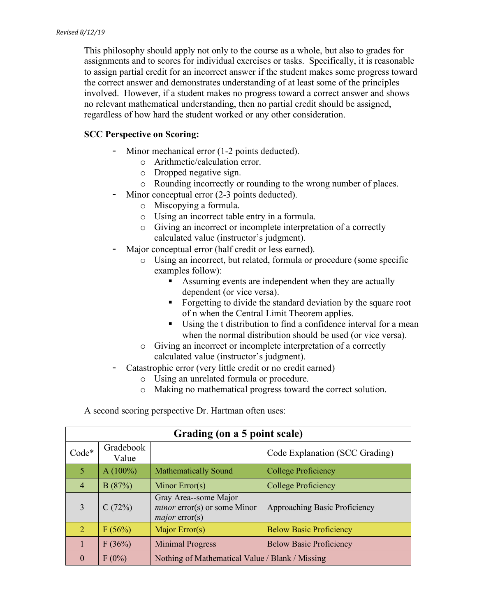This philosophy should apply not only to the course as a whole, but also to grades for assignments and to scores for individual exercises or tasks. Specifically, it is reasonable to assign partial credit for an incorrect answer if the student makes some progress toward the correct answer and demonstrates understanding of at least some of the principles involved. However, if a student makes no progress toward a correct answer and shows no relevant mathematical understanding, then no partial credit should be assigned, regardless of how hard the student worked or any other consideration.

# **SCC Perspective on Scoring:**

- Minor mechanical error (1-2 points deducted).
	- o Arithmetic/calculation error.
	- o Dropped negative sign.
	- o Rounding incorrectly or rounding to the wrong number of places.
- Minor conceptual error (2-3 points deducted).
	- o Miscopying a formula.
	- o Using an incorrect table entry in a formula.
	- o Giving an incorrect or incomplete interpretation of a correctly calculated value (instructor's judgment).
- Major conceptual error (half credit or less earned).
	- o Using an incorrect, but related, formula or procedure (some specific examples follow):
		- Assuming events are independent when they are actually dependent (or vice versa).
		- Forgetting to divide the standard deviation by the square root of n when the Central Limit Theorem applies.
		- Using the t distribution to find a confidence interval for a mean when the normal distribution should be used (or vice versa).
	- o Giving an incorrect or incomplete interpretation of a correctly calculated value (instructor's judgment).
- Catastrophic error (very little credit or no credit earned)
	- o Using an unrelated formula or procedure.
	- o Making no mathematical progress toward the correct solution.

A second scoring perspective Dr. Hartman often uses:

| Grading (on a 5 point scale) |                    |                                                                                  |                                |  |
|------------------------------|--------------------|----------------------------------------------------------------------------------|--------------------------------|--|
| Code*                        | Gradebook<br>Value | Code Explanation (SCC Grading)                                                   |                                |  |
| 5                            | $A(100\%)$         | <b>Mathematically Sound</b>                                                      | <b>College Proficiency</b>     |  |
| $\overline{4}$               | B(87%)             | Minor $Error(s)$                                                                 | <b>College Proficiency</b>     |  |
| 3                            | C(72%)             | Gray Area--some Major<br><i>minor</i> error(s) or some Minor<br>$major$ error(s) | Approaching Basic Proficiency  |  |
| $\overline{2}$               | F(56%)             | Major Error(s)                                                                   | <b>Below Basic Proficiency</b> |  |
|                              | F(36%)             | <b>Minimal Progress</b>                                                          | <b>Below Basic Proficiency</b> |  |
| $\Omega$                     | $F(0\%)$           | Nothing of Mathematical Value / Blank / Missing                                  |                                |  |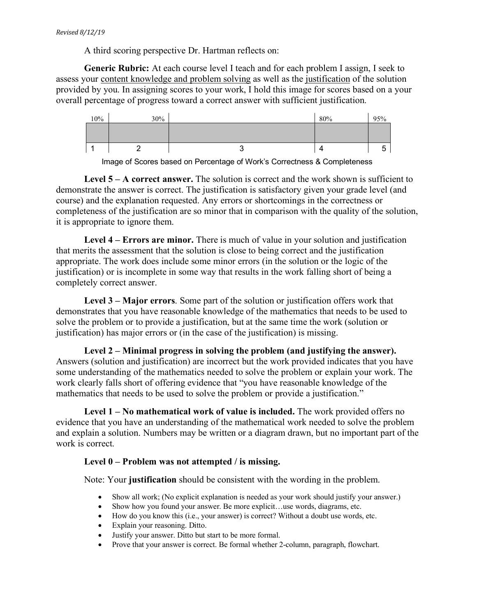A third scoring perspective Dr. Hartman reflects on:

**Generic Rubric:** At each course level I teach and for each problem I assign, I seek to assess your content knowledge and problem solving as well as the justification of the solution provided by you. In assigning scores to your work, I hold this image for scores based on a your overall percentage of progress toward a correct answer with sufficient justification.

| 10% | 30% |   | 80% | 95%    |
|-----|-----|---|-----|--------|
|     |     |   |     |        |
|     |     |   |     |        |
|     |     | ັ | 4   | ∽<br>ັ |

Image of Scores based on Percentage of Work's Correctness & Completeness

**Level 5 – A correct answer.** The solution is correct and the work shown is sufficient to demonstrate the answer is correct. The justification is satisfactory given your grade level (and course) and the explanation requested. Any errors or shortcomings in the correctness or completeness of the justification are so minor that in comparison with the quality of the solution, it is appropriate to ignore them.

**Level 4 – Errors are minor.** There is much of value in your solution and justification that merits the assessment that the solution is close to being correct and the justification appropriate. The work does include some minor errors (in the solution or the logic of the justification) or is incomplete in some way that results in the work falling short of being a completely correct answer.

**Level 3 – Major errors**. Some part of the solution or justification offers work that demonstrates that you have reasonable knowledge of the mathematics that needs to be used to solve the problem or to provide a justification, but at the same time the work (solution or justification) has major errors or (in the case of the justification) is missing.

**Level 2 – Minimal progress in solving the problem (and justifying the answer).**  Answers (solution and justification) are incorrect but the work provided indicates that you have some understanding of the mathematics needed to solve the problem or explain your work. The work clearly falls short of offering evidence that "you have reasonable knowledge of the mathematics that needs to be used to solve the problem or provide a justification."

**Level 1 – No mathematical work of value is included.** The work provided offers no evidence that you have an understanding of the mathematical work needed to solve the problem and explain a solution. Numbers may be written or a diagram drawn, but no important part of the work is correct.

# **Level 0 – Problem was not attempted / is missing.**

Note: Your **justification** should be consistent with the wording in the problem.

- Show all work; (No explicit explanation is needed as your work should justify your answer.)
- Show how you found your answer. Be more explicit...use words, diagrams, etc.
- How do you know this (i.e., your answer) is correct? Without a doubt use words, etc.
- Explain your reasoning. Ditto.
- Justify your answer. Ditto but start to be more formal.
- Prove that your answer is correct. Be formal whether 2-column, paragraph, flowchart.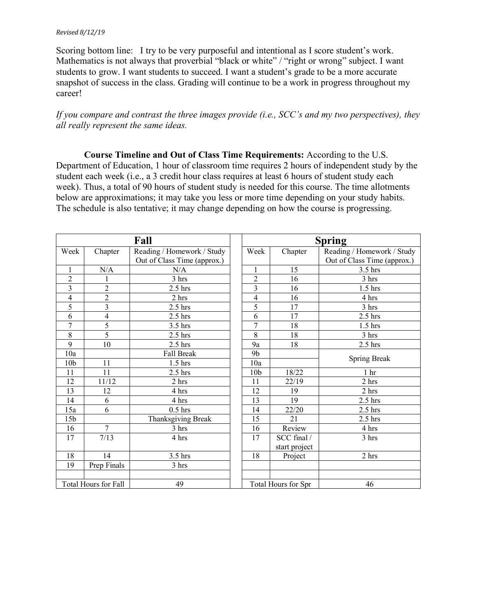#### *Revised 8/12/19*

Scoring bottom line: I try to be very purposeful and intentional as I score student's work. Mathematics is not always that proverbial "black or white" / "right or wrong" subject. I want students to grow. I want students to succeed. I want a student's grade to be a more accurate snapshot of success in the class. Grading will continue to be a work in progress throughout my career!

## *If you compare and contrast the three images provide (i.e., SCC's and my two perspectives), they all really represent the same ideas.*

**Course Timeline and Out of Class Time Requirements:** According to the U.S. Department of Education, 1 hour of classroom time requires 2 hours of independent study by the student each week (i.e., a 3 credit hour class requires at least 6 hours of student study each week). Thus, a total of 90 hours of student study is needed for this course. The time allotments below are approximations; it may take you less or more time depending on your study habits. The schedule is also tentative; it may change depending on how the course is progressing.

| Fall                     |                         |                                                           | <b>Spring</b>   |                              |                                                           |  |
|--------------------------|-------------------------|-----------------------------------------------------------|-----------------|------------------------------|-----------------------------------------------------------|--|
| Week                     | Chapter                 | Reading / Homework / Study<br>Out of Class Time (approx.) | Week            | Chapter                      | Reading / Homework / Study<br>Out of Class Time (approx.) |  |
|                          | N/A                     | N/A                                                       |                 | 15                           | 3.5 hrs                                                   |  |
| $\overline{c}$           | 1                       | 3 hrs                                                     | $\overline{2}$  | 16                           | 3 hrs                                                     |  |
| 3                        | $\mathbf{2}$            | $2.5$ hrs                                                 | $\overline{3}$  | 16                           | $1.5$ hrs                                                 |  |
| $\overline{\mathcal{L}}$ | $\overline{c}$          | 2 hrs                                                     | $\overline{4}$  | 16                           | 4 hrs                                                     |  |
| 5                        | $\overline{\mathbf{3}}$ | $2.5$ hrs                                                 | 5               | 17                           | 3 hrs                                                     |  |
| 6                        | 4                       | $2.5$ hrs                                                 | 6               | 17                           | $2.5$ hrs                                                 |  |
| 7                        | 5                       | $3.5$ hrs                                                 | 7               | 18                           | $1.5$ hrs                                                 |  |
| 8                        | 5                       | $2.5$ hrs                                                 | 8               | 18                           | 3 hrs                                                     |  |
| 9                        | 10                      | $2.5$ hrs                                                 | 9a              | 18                           | $2.5$ hrs                                                 |  |
| 10a                      |                         | <b>Fall Break</b>                                         | 9 <sub>b</sub>  |                              | Spring Break                                              |  |
| 10 <sub>b</sub>          | 11                      | $1.5$ hrs                                                 | 10a             |                              |                                                           |  |
| 11                       | 11                      | $2.5$ hrs                                                 | 10 <sub>b</sub> | 18/22                        | 1 <sub>hr</sub>                                           |  |
| 12                       | 11/12                   | 2 hrs                                                     | 11              | 22/19                        | 2 <sub>hrs</sub>                                          |  |
| 13                       | 12                      | 4 hrs                                                     | 12              | 19                           | 2 hrs                                                     |  |
| 14                       | 6                       | 4 hrs                                                     | 13              | 19                           | $2.5$ hrs                                                 |  |
| 15a                      | 6                       | $0.5$ hrs                                                 | 14              | 22/20                        | $2.5$ hrs                                                 |  |
| 15 <sub>b</sub>          |                         | Thanksgiving Break                                        | 15              | 21                           | $2.5$ hrs                                                 |  |
| 16                       | $\overline{7}$          | 3 hrs                                                     | 16              | Review                       | 4 hrs                                                     |  |
| 17                       | 7/13                    | 4 hrs                                                     | 17              | SCC final /<br>start project | 3 hrs                                                     |  |
| 18                       | 14                      | 3.5 hrs                                                   | 18              | Project                      | 2 hrs                                                     |  |
| 19                       | Prep Finals             | 3 hrs                                                     |                 |                              |                                                           |  |
|                          |                         |                                                           |                 |                              |                                                           |  |
|                          | Total Hours for Fall    | 49                                                        |                 | Total Hours for Spr          | 46                                                        |  |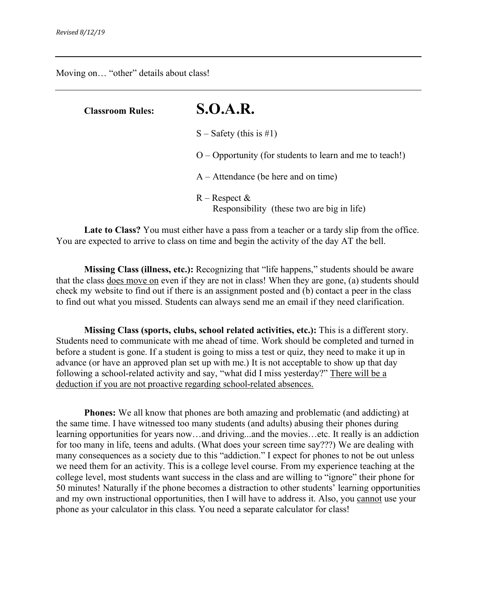Moving on… "other" details about class!

| <b>Classroom Rules:</b> | S.O.A.R.                                                      |
|-------------------------|---------------------------------------------------------------|
|                         | $S -$ Safety (this is #1)                                     |
|                         | $O -$ Opportunity (for students to learn and me to teach!)    |
|                         | $A -$ Attendance (be here and on time)                        |
|                         | $R -$ Respect &<br>Responsibility (these two are big in life) |

**Late to Class?** You must either have a pass from a teacher or a tardy slip from the office. You are expected to arrive to class on time and begin the activity of the day AT the bell.

**Missing Class (illness, etc.):** Recognizing that "life happens," students should be aware that the class does move on even if they are not in class! When they are gone, (a) students should check my website to find out if there is an assignment posted and (b) contact a peer in the class to find out what you missed. Students can always send me an email if they need clarification.

**Missing Class (sports, clubs, school related activities, etc.):** This is a different story. Students need to communicate with me ahead of time. Work should be completed and turned in before a student is gone. If a student is going to miss a test or quiz, they need to make it up in advance (or have an approved plan set up with me.) It is not acceptable to show up that day following a school-related activity and say, "what did I miss yesterday?" There will be a deduction if you are not proactive regarding school-related absences.

**Phones:** We all know that phones are both amazing and problematic (and addicting) at the same time. I have witnessed too many students (and adults) abusing their phones during learning opportunities for years now…and driving...and the movies…etc. It really is an addiction for too many in life, teens and adults. (What does your screen time say???) We are dealing with many consequences as a society due to this "addiction." I expect for phones to not be out unless we need them for an activity. This is a college level course. From my experience teaching at the college level, most students want success in the class and are willing to "ignore" their phone for 50 minutes! Naturally if the phone becomes a distraction to other students' learning opportunities and my own instructional opportunities, then I will have to address it. Also, you cannot use your phone as your calculator in this class. You need a separate calculator for class!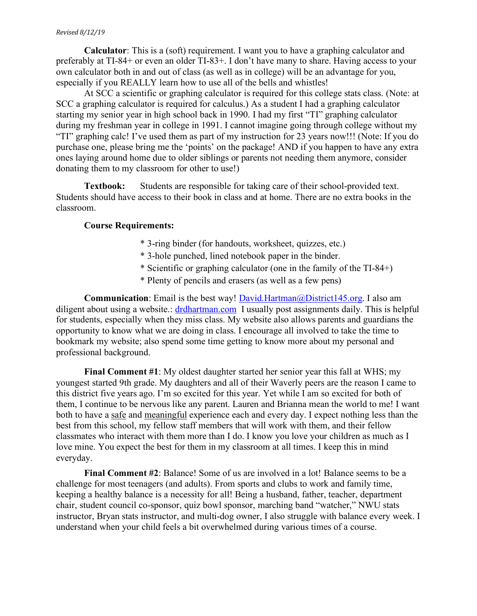#### *Revised 8/12/19*

**Calculator**: This is a (soft) requirement. I want you to have a graphing calculator and preferably at TI-84+ or even an older TI-83+. I don't have many to share. Having access to your own calculator both in and out of class (as well as in college) will be an advantage for you, especially if you REALLY learn how to use all of the bells and whistles!

At SCC a scientific or graphing calculator is required for this college stats class. (Note: at SCC a graphing calculator is required for calculus.) As a student I had a graphing calculator starting my senior year in high school back in 1990. I had my first "TI" graphing calculator during my freshman year in college in 1991. I cannot imagine going through college without my "TI" graphing calc! I've used them as part of my instruction for 23 years now!!! (Note: If you do purchase one, please bring me the 'points' on the package! AND if you happen to have any extra ones laying around home due to older siblings or parents not needing them anymore, consider donating them to my classroom for other to use!)

**Textbook:** Students are responsible for taking care of their school-provided text. Students should have access to their book in class and at home. There are no extra books in the classroom.

#### **Course Requirements:**

- \* 3-ring binder (for handouts, worksheet, quizzes, etc.)
- \* 3-hole punched, lined notebook paper in the binder.
- \* Scientific or graphing calculator (one in the family of the TI-84+)
- \* Plenty of pencils and erasers (as well as a few pens)

**Communication**: Email is the best way! David.Hartman@District145.org. I also am diligent about using a website.: drdhartman.com I usually post assignments daily. This is helpful for students, especially when they miss class. My website also allows parents and guardians the opportunity to know what we are doing in class. I encourage all involved to take the time to bookmark my website; also spend some time getting to know more about my personal and professional background.

**Final Comment #1**: My oldest daughter started her senior year this fall at WHS; my youngest started 9th grade. My daughters and all of their Waverly peers are the reason I came to this district five years ago. I'm so excited for this year. Yet while I am so excited for both of them, I continue to be nervous like any parent. Lauren and Brianna mean the world to me! I want both to have a safe and meaningful experience each and every day. I expect nothing less than the best from this school, my fellow staff members that will work with them, and their fellow classmates who interact with them more than I do. I know you love your children as much as I love mine. You expect the best for them in my classroom at all times. I keep this in mind everyday.

**Final Comment #2**: Balance! Some of us are involved in a lot! Balance seems to be a challenge for most teenagers (and adults). From sports and clubs to work and family time, keeping a healthy balance is a necessity for all! Being a husband, father, teacher, department chair, student council co-sponsor, quiz bowl sponsor, marching band "watcher," NWU stats instructor, Bryan stats instructor, and multi-dog owner, I also struggle with balance every week. I understand when your child feels a bit overwhelmed during various times of a course.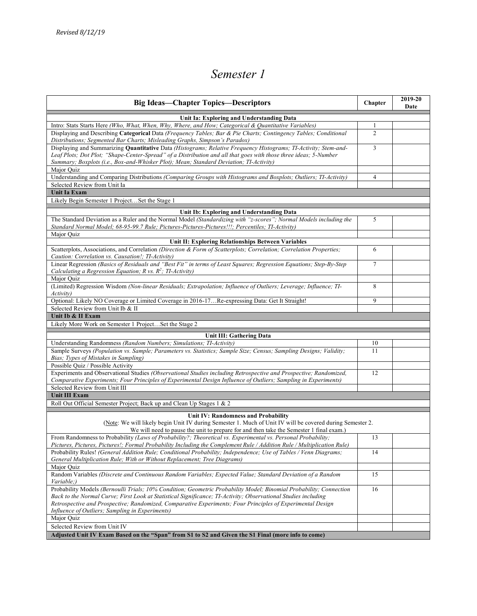# *Semester 1*

| <b>Big Ideas—Chapter Topics—Descriptors</b>                                                                                                                                                                                                                                                                                   | Chapter        | 2019-20<br>Date |  |  |  |
|-------------------------------------------------------------------------------------------------------------------------------------------------------------------------------------------------------------------------------------------------------------------------------------------------------------------------------|----------------|-----------------|--|--|--|
| Unit Ia: Exploring and Understanding Data                                                                                                                                                                                                                                                                                     |                |                 |  |  |  |
| Intro: Stats Starts Here (Who, What, When, Why, Where, and How; Categorical & Quantitative Variables)                                                                                                                                                                                                                         | 1              |                 |  |  |  |
| Displaying and Describing Categorical Data (Frequency Tables; Bar & Pie Charts; Contingency Tables; Conditional<br>Distributions; Segmented Bar Charts; Misleading Graphs, Simpson's Paradox)                                                                                                                                 | $\overline{2}$ |                 |  |  |  |
| Displaying and Summarizing Quantitative Data (Histograms; Relative Frequency Histograms; TI-Activity; Stem-and-<br>Leaf Plots; Dot Plot; "Shape-Center-Spread" of a Distribution and all that goes with those three ideas; 5-Number<br>Summary; Boxplots (i.e., Box-and-Whisker Plot); Mean; Standard Deviation; TI-Activity) | 3              |                 |  |  |  |
| Major Quiz                                                                                                                                                                                                                                                                                                                    |                |                 |  |  |  |
| Understanding and Comparing Distributions (Comparing Groups with Histograms and Boxplots; Outliers; TI-Activity)                                                                                                                                                                                                              | $\overline{4}$ |                 |  |  |  |
| Selected Review from Unit Ia                                                                                                                                                                                                                                                                                                  |                |                 |  |  |  |
| <b>Unit Ia Exam</b>                                                                                                                                                                                                                                                                                                           |                |                 |  |  |  |
| Likely Begin Semester 1 ProjectSet the Stage 1                                                                                                                                                                                                                                                                                |                |                 |  |  |  |
| Unit Ib: Exploring and Understanding Data                                                                                                                                                                                                                                                                                     |                |                 |  |  |  |
| The Standard Deviation as a Ruler and the Normal Model (Standardizing with "z-scores"; Normal Models including the                                                                                                                                                                                                            | 5              |                 |  |  |  |
| Standard Normal Model; 68-95-99.7 Rule; Pictures-Pictures-Pictures!!!; Percentiles; TI-Activity)<br>Major Quiz                                                                                                                                                                                                                |                |                 |  |  |  |
| Unit II: Exploring Relationships Between Variables                                                                                                                                                                                                                                                                            |                |                 |  |  |  |
| Scatterplots, Associations, and Correlation (Direction & Form of Scatterplots; Correlation; Correlation Properties;                                                                                                                                                                                                           | 6              |                 |  |  |  |
| Caution: Correlation vs. Causation!; TI-Activity)<br>Linear Regression (Basics of Residuals and "Best Fit" in terms of Least Squares; Regression Equations; Step-By-Step                                                                                                                                                      | $\tau$         |                 |  |  |  |
| Calculating a Regression Equation; R vs. $R^2$ ; TI-Activity)                                                                                                                                                                                                                                                                 |                |                 |  |  |  |
| Maior Ouiz                                                                                                                                                                                                                                                                                                                    |                |                 |  |  |  |
| (Limited) Regression Wisdom (Non-linear Residuals; Extrapolation; Influence of Outliers; Leverage; Influence; TI-<br><i>Activity</i> )                                                                                                                                                                                        | 8              |                 |  |  |  |
| Optional: Likely NO Coverage or Limited Coverage in 2016-17Re-expressing Data: Get It Straight!                                                                                                                                                                                                                               | 9              |                 |  |  |  |
| Selected Review from Unit Ib & II                                                                                                                                                                                                                                                                                             |                |                 |  |  |  |
| Unit Ib & II Exam                                                                                                                                                                                                                                                                                                             |                |                 |  |  |  |
| Likely More Work on Semester 1 ProjectSet the Stage 2                                                                                                                                                                                                                                                                         |                |                 |  |  |  |
| Unit III: Gathering Data                                                                                                                                                                                                                                                                                                      |                |                 |  |  |  |
| Understanding Randomness (Random Numbers; Simulations; TI-Activity)                                                                                                                                                                                                                                                           | 10             |                 |  |  |  |
| Sample Surveys (Population vs. Sample; Parameters vs. Statistics; Sample Size; Census; Sampling Designs; Validity;<br>Bias; Types of Mistakes in Sampling)                                                                                                                                                                    | 11             |                 |  |  |  |
| Possible Quiz / Possible Activity                                                                                                                                                                                                                                                                                             |                |                 |  |  |  |
| Experiments and Observational Studies (Observational Studies including Retrospective and Prospective; Randomized,                                                                                                                                                                                                             | 12             |                 |  |  |  |
| Comparative Experiments; Four Principles of Experimental Design Influence of Outliers; Sampling in Experiments)<br>Selected Review from Unit III                                                                                                                                                                              |                |                 |  |  |  |
| <b>Unit III Exam</b>                                                                                                                                                                                                                                                                                                          |                |                 |  |  |  |
| Roll Out Official Semester Project; Back up and Clean Up Stages 1 & 2                                                                                                                                                                                                                                                         |                |                 |  |  |  |
|                                                                                                                                                                                                                                                                                                                               |                |                 |  |  |  |
| Unit IV: Randomness and Probability<br>(Note: We will likely begin Unit IV during Semester 1. Much of Unit IV will be covered during Semester 2.                                                                                                                                                                              |                |                 |  |  |  |
| We will need to pause the unit to prepare for and then take the Semester 1 final exam.)<br>From Randomness to Probability (Laws of Probability?; Theoretical vs. Experimental vs. Personal Probability;                                                                                                                       | 13             |                 |  |  |  |
| Pictures, Pictures, Pictures!; Formal Probability Including the Complement Rule / Addition Rule / Multiplication Rule)<br>Probability Rules! (General Addition Rule; Conditional Probability; Independence; Use of Tables / Venn Diagrams;                                                                                    | 14             |                 |  |  |  |
| General Multiplication Rule; With or Without Replacement; Tree Diagrams)                                                                                                                                                                                                                                                      |                |                 |  |  |  |
| Major Quiz<br>Random Variables (Discrete and Continuous Random Variables; Expected Value; Standard Deviation of a Random                                                                                                                                                                                                      | 15             |                 |  |  |  |
| Variable:)                                                                                                                                                                                                                                                                                                                    |                |                 |  |  |  |
| Probability Models (Bernoulli Trials; 10% Condition; Geometric Probability Model; Binomial Probability; Connection<br>Back to the Normal Curve; First Look at Statistical Significance; TI-Activity; Observational Studies including                                                                                          | 16             |                 |  |  |  |
| Retrospective and Prospective; Randomized, Comparative Experiments; Four Principles of Experimental Design<br>Influence of Outliers; Sampling in Experiments)                                                                                                                                                                 |                |                 |  |  |  |
| Major Quiz                                                                                                                                                                                                                                                                                                                    |                |                 |  |  |  |
| Selected Review from Unit IV                                                                                                                                                                                                                                                                                                  |                |                 |  |  |  |
| Adjusted Unit IV Exam Based on the "Span" from S1 to S2 and Given the S1 Final (more info to come)                                                                                                                                                                                                                            |                |                 |  |  |  |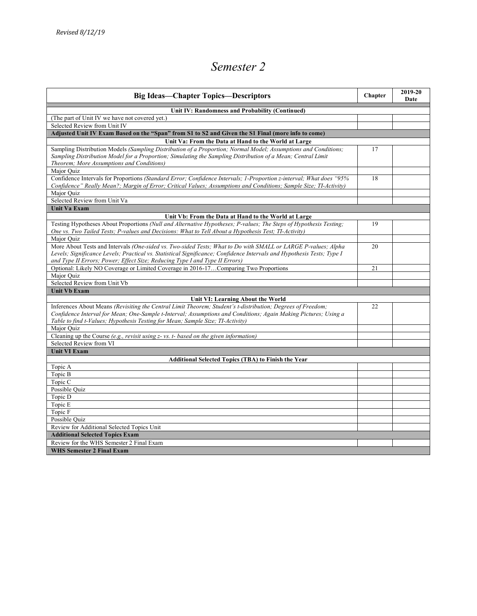# *Semester 2*

| <b>Big Ideas—Chapter Topics—Descriptors</b>                                                                                                                                                                                                                                                                            | Chapter | 2019-20<br>Date |
|------------------------------------------------------------------------------------------------------------------------------------------------------------------------------------------------------------------------------------------------------------------------------------------------------------------------|---------|-----------------|
| Unit IV: Randomness and Probability (Continued)                                                                                                                                                                                                                                                                        |         |                 |
| (The part of Unit IV we have not covered yet.)                                                                                                                                                                                                                                                                         |         |                 |
| Selected Review from Unit IV                                                                                                                                                                                                                                                                                           |         |                 |
| Adjusted Unit IV Exam Based on the "Span" from S1 to S2 and Given the S1 Final (more info to come)                                                                                                                                                                                                                     |         |                 |
| Unit Va: From the Data at Hand to the World at Large                                                                                                                                                                                                                                                                   |         |                 |
| Sampling Distribution Models (Sampling Distribution of a Proportion; Normal Model; Assumptions and Conditions;<br>Sampling Distribution Model for a Proportion; Simulating the Sampling Distribution of a Mean; Central Limit<br>Theorem; More Assumptions and Conditions)                                             | 17      |                 |
| Major Quiz<br>Confidence Intervals for Proportions (Standard Error; Confidence Intervals; 1-Proportion z-interval; What does "95%<br>Confidence" Really Mean?; Margin of Error; Critical Values; Assumptions and Conditions; Sample Size; TI-Activity)<br>Major Quiz                                                   | 18      |                 |
| Selected Review from Unit Va                                                                                                                                                                                                                                                                                           |         |                 |
| <b>Unit Va Exam</b>                                                                                                                                                                                                                                                                                                    |         |                 |
| Unit Vb: From the Data at Hand to the World at Large                                                                                                                                                                                                                                                                   |         |                 |
| Testing Hypotheses About Proportions (Null and Alternative Hypotheses; P-values; The Steps of Hypothesis Testing;<br>One vs. Two Tailed Tests; P-values and Decisions: What to Tell About a Hypothesis Test; TI-Activity)<br>Major Ouiz                                                                                | 19      |                 |
| More About Tests and Intervals (One-sided vs. Two-sided Tests; What to Do with SMALL or LARGE P-values; Alpha<br>Levels; Significance Levels; Practical vs. Statistical Significance; Confidence Intervals and Hypothesis Tests; Type I<br>and Type II Errors; Power; Effect Size; Reducing Type I and Type II Errors) | 20      |                 |
| Optional: Likely NO Coverage or Limited Coverage in 2016-17Comparing Two Proportions                                                                                                                                                                                                                                   | 21      |                 |
| Major Ouiz                                                                                                                                                                                                                                                                                                             |         |                 |
| Selected Review from Unit Vb                                                                                                                                                                                                                                                                                           |         |                 |
| <b>Unit Vb Exam</b>                                                                                                                                                                                                                                                                                                    |         |                 |
| Unit VI: Learning About the World                                                                                                                                                                                                                                                                                      |         |                 |
| Inferences About Means (Revisiting the Central Limit Theorem; Student's t-distribution; Degrees of Freedom;<br>Confidence Interval for Mean; One-Sample t-Interval; Assumptions and Conditions; Again Making Pictures; Using a<br>Table to find t-Values; Hypothesis Testing for Mean; Sample Size; TI-Activity)       | 22      |                 |
| Major Ouiz                                                                                                                                                                                                                                                                                                             |         |                 |
| Cleaning up the Course (e.g., revisit using z- vs. t- based on the given information)                                                                                                                                                                                                                                  |         |                 |
| Selected Review from VI                                                                                                                                                                                                                                                                                                |         |                 |
| <b>Unit VI Exam</b>                                                                                                                                                                                                                                                                                                    |         |                 |
| <b>Additional Selected Topics (TBA) to Finish the Year</b>                                                                                                                                                                                                                                                             |         |                 |
| Topic A                                                                                                                                                                                                                                                                                                                |         |                 |
| Topic B                                                                                                                                                                                                                                                                                                                |         |                 |
| Topic C                                                                                                                                                                                                                                                                                                                |         |                 |
| Possible Quiz                                                                                                                                                                                                                                                                                                          |         |                 |
| Topic D                                                                                                                                                                                                                                                                                                                |         |                 |
| Topic E                                                                                                                                                                                                                                                                                                                |         |                 |
| Topic F                                                                                                                                                                                                                                                                                                                |         |                 |
| Possible Ouiz                                                                                                                                                                                                                                                                                                          |         |                 |
| Review for Additional Selected Topics Unit                                                                                                                                                                                                                                                                             |         |                 |
| <b>Additional Selected Topics Exam</b>                                                                                                                                                                                                                                                                                 |         |                 |
| Review for the WHS Semester 2 Final Exam<br><b>WHS Semester 2 Final Exam</b>                                                                                                                                                                                                                                           |         |                 |
|                                                                                                                                                                                                                                                                                                                        |         |                 |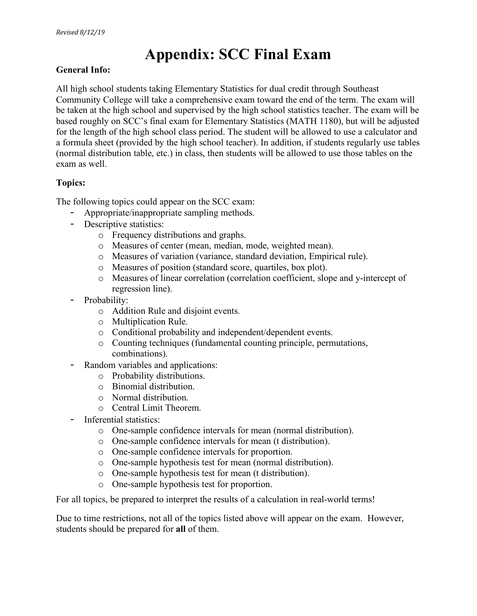# **Appendix: SCC Final Exam**

## **General Info:**

All high school students taking Elementary Statistics for dual credit through Southeast Community College will take a comprehensive exam toward the end of the term. The exam will be taken at the high school and supervised by the high school statistics teacher. The exam will be based roughly on SCC's final exam for Elementary Statistics (MATH 1180), but will be adjusted for the length of the high school class period. The student will be allowed to use a calculator and a formula sheet (provided by the high school teacher). In addition, if students regularly use tables (normal distribution table, etc.) in class, then students will be allowed to use those tables on the exam as well.

# **Topics:**

The following topics could appear on the SCC exam:

- Appropriate/inappropriate sampling methods.
- Descriptive statistics:
	- o Frequency distributions and graphs.
	- o Measures of center (mean, median, mode, weighted mean).
	- o Measures of variation (variance, standard deviation, Empirical rule).
	- o Measures of position (standard score, quartiles, box plot).
	- o Measures of linear correlation (correlation coefficient, slope and y-intercept of regression line).
- Probability:
	- o Addition Rule and disjoint events.
	- o Multiplication Rule.
	- o Conditional probability and independent/dependent events.
	- o Counting techniques (fundamental counting principle, permutations, combinations).
- Random variables and applications:
	- o Probability distributions.
	- o Binomial distribution.
	- o Normal distribution.
	- o Central Limit Theorem.
- Inferential statistics:
	- o One-sample confidence intervals for mean (normal distribution).
	- o One-sample confidence intervals for mean (t distribution).
	- o One-sample confidence intervals for proportion.
	- o One-sample hypothesis test for mean (normal distribution).
	- o One-sample hypothesis test for mean (t distribution).
	- o One-sample hypothesis test for proportion.

For all topics, be prepared to interpret the results of a calculation in real-world terms!

Due to time restrictions, not all of the topics listed above will appear on the exam. However, students should be prepared for **all** of them.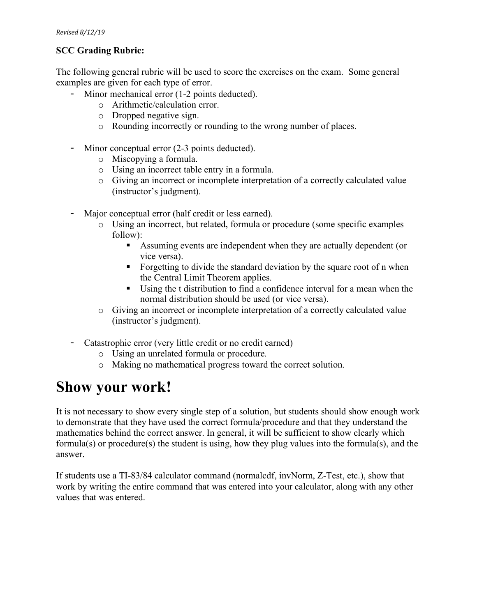# **SCC Grading Rubric:**

The following general rubric will be used to score the exercises on the exam. Some general examples are given for each type of error.

- Minor mechanical error (1-2 points deducted).
	- o Arithmetic/calculation error.
	- o Dropped negative sign.
	- o Rounding incorrectly or rounding to the wrong number of places.
- Minor conceptual error (2-3 points deducted).
	- o Miscopying a formula.
	- o Using an incorrect table entry in a formula.
	- o Giving an incorrect or incomplete interpretation of a correctly calculated value (instructor's judgment).
- Major conceptual error (half credit or less earned).
	- o Using an incorrect, but related, formula or procedure (some specific examples follow):
		- § Assuming events are independent when they are actually dependent (or vice versa).
		- Forgetting to divide the standard deviation by the square root of n when the Central Limit Theorem applies.
		- § Using the t distribution to find a confidence interval for a mean when the normal distribution should be used (or vice versa).
	- o Giving an incorrect or incomplete interpretation of a correctly calculated value (instructor's judgment).
- Catastrophic error (very little credit or no credit earned)
	- o Using an unrelated formula or procedure.
	- o Making no mathematical progress toward the correct solution.

# **Show your work!**

It is not necessary to show every single step of a solution, but students should show enough work to demonstrate that they have used the correct formula/procedure and that they understand the mathematics behind the correct answer. In general, it will be sufficient to show clearly which formula(s) or procedure(s) the student is using, how they plug values into the formula(s), and the answer.

If students use a TI-83/84 calculator command (normalcdf, invNorm, Z-Test, etc.), show that work by writing the entire command that was entered into your calculator, along with any other values that was entered.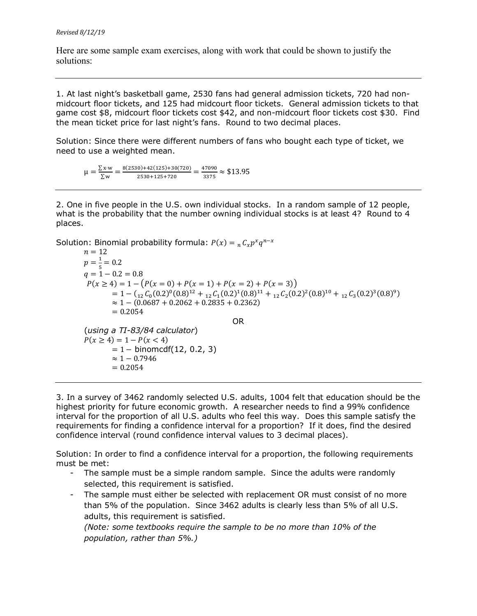Here are some sample exam exercises, along with work that could be shown to justify the solutions:

1. At last night's basketball game, 2530 fans had general admission tickets, 720 had nonmidcourt floor tickets, and 125 had midcourt floor tickets. General admission tickets to that game cost \$8, midcourt floor tickets cost \$42, and non-midcourt floor tickets cost \$30. Find the mean ticket price for last night's fans. Round to two decimal places.

Solution: Since there were different numbers of fans who bought each type of ticket, we need to use a weighted mean.

 $\mu = \frac{\sum x \cdot w}{\sum w} = \frac{8(2530) + 42(125) + 30(720)}{2530 + 125 + 720} = \frac{47090}{3375} \approx $13.95$ 

2. One in five people in the U.S. own individual stocks. In a random sample of 12 people, what is the probability that the number owning individual stocks is at least 4? Round to 4 places.

Solution: Binomial probability formula:  $P(x) = {}_nC_x p^x q^{n-x}$ 

 $n = 12$  $p = \frac{1}{5} = 0.2$  $q = 1 - 0.2 = 0.8$  $P(x \ge 4) = 1 - (P(x = 0) + P(x = 1) + P(x = 2) + P(x = 3))$  $= 1 - (1/2)C_0(0.2)^0(0.8)^{12} + 1/2C_1(0.2)^1(0.8)^{11} + 1/2C_2(0.2)^2(0.8)^{10} + 1/2C_3(0.2)^3(0.8)^9)$  $\approx$  1 – (0.0687 + 0.2062 + 0.2835 + 0.2362)  $= 0.2054$ OR (*using a TI-83/84 calculator*)  $P(x \ge 4) = 1 - P(x < 4)$  $= 1 - binomcdf(12, 0.2, 3)$  $≈ 1 - 0.7946$  $= 0.2054$ 

3. In a survey of 3462 randomly selected U.S. adults, 1004 felt that education should be the highest priority for future economic growth. A researcher needs to find a 99% confidence interval for the proportion of all U.S. adults who feel this way. Does this sample satisfy the requirements for finding a confidence interval for a proportion? If it does, find the desired confidence interval (round confidence interval values to 3 decimal places).

Solution: In order to find a confidence interval for a proportion, the following requirements must be met:

- The sample must be a simple random sample. Since the adults were randomly selected, this requirement is satisfied.
- The sample must either be selected with replacement OR must consist of no more than 5% of the population. Since 3462 adults is clearly less than 5% of all U.S. adults, this requirement is satisfied.

*(Note: some textbooks require the sample to be no more than 10% of the population, rather than 5%.)*